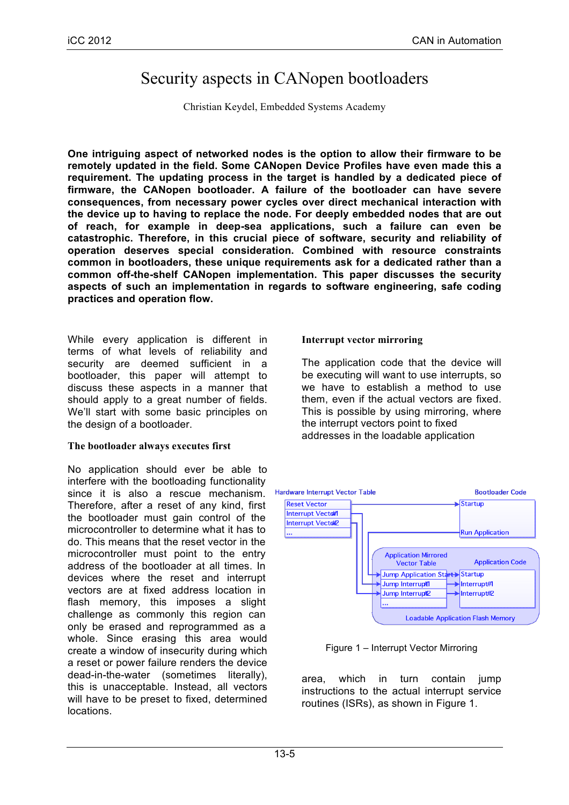# Security aspects in CANopen bootloaders

Christian Keydel, Embedded Systems Academy

**One intriguing aspect of networked nodes is the option to allow their firmware to be remotely updated in the field. Some CANopen Device Profiles have even made this a requirement. The updating process in the target is handled by a dedicated piece of firmware, the CANopen bootloader. A failure of the bootloader can have severe consequences, from necessary power cycles over direct mechanical interaction with the device up to having to replace the node. For deeply embedded nodes that are out of reach, for example in deep-sea applications, such a failure can even be catastrophic. Therefore, in this crucial piece of software, security and reliability of operation deserves special consideration. Combined with resource constraints common in bootloaders, these unique requirements ask for a dedicated rather than a common off-the-shelf CANopen implementation. This paper discusses the security aspects of such an implementation in regards to software engineering, safe coding practices and operation flow.**

While every application is different in terms of what levels of reliability and security are deemed sufficient in a bootloader, this paper will attempt to discuss these aspects in a manner that should apply to a great number of fields. We'll start with some basic principles on the design of a bootloader.

#### **The bootloader always executes first**

No application should ever be able to interfere with the bootloading functionality since it is also a rescue mechanism. Therefore, after a reset of any kind, first the bootloader must gain control of the microcontroller to determine what it has to do. This means that the reset vector in the microcontroller must point to the entry address of the bootloader at all times. In devices where the reset and interrupt vectors are at fixed address location in flash memory, this imposes a slight challenge as commonly this region can only be erased and reprogrammed as a whole. Since erasing this area would create a window of insecurity during which a reset or power failure renders the device dead-in-the-water (sometimes literally), this is unacceptable. Instead, all vectors will have to be preset to fixed, determined locations.

#### **Interrupt vector mirroring**

The application code that the device will be executing will want to use interrupts, so we have to establish a method to use them, even if the actual vectors are fixed. This is possible by using mirroring, where the interrupt vectors point to fixed addresses in the loadable application



Figure 1 – Interrupt Vector Mirroring

area, which in turn contain jump instructions to the actual interrupt service routines (ISRs), as shown in Figure 1.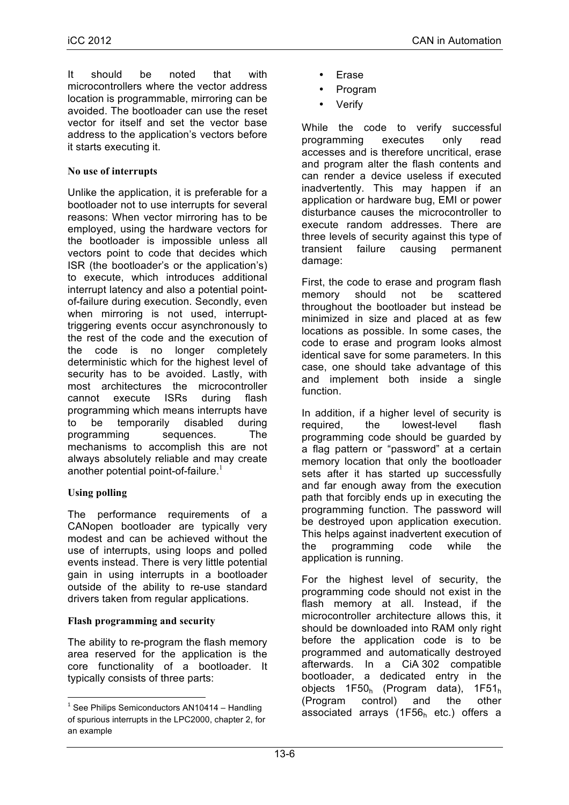It should be noted that with microcontrollers where the vector address location is programmable, mirroring can be avoided. The bootloader can use the reset vector for itself and set the vector base address to the application's vectors before it starts executing it.

#### **No use of interrupts**

Unlike the application, it is preferable for a bootloader not to use interrupts for several reasons: When vector mirroring has to be employed, using the hardware vectors for the bootloader is impossible unless all vectors point to code that decides which ISR (the bootloader's or the application's) to execute, which introduces additional interrupt latency and also a potential pointof-failure during execution. Secondly, even when mirroring is not used, interrupttriggering events occur asynchronously to the rest of the code and the execution of the code is no longer completely deterministic which for the highest level of security has to be avoided. Lastly, with most architectures the microcontroller cannot execute ISRs during flash programming which means interrupts have to be temporarily disabled during programming sequences. The mechanisms to accomplish this are not always absolutely reliable and may create another potential point-of-failure. $1$ 

# **Using polling**

The performance requirements of a CANopen bootloader are typically very modest and can be achieved without the use of interrupts, using loops and polled events instead. There is very little potential gain in using interrupts in a bootloader outside of the ability to re-use standard drivers taken from regular applications.

# **Flash programming and security**

<u> 1989 - Johann Stein, mars et al. 1989 - Anna ann an t-Anna ann an t-Anna ann an t-Anna ann an t-Anna ann an t-</u>

The ability to re-program the flash memory area reserved for the application is the core functionality of a bootloader. It typically consists of three parts:

- **Erase**
- Program
- **Verify**

While the code to verify successful programming executes only read accesses and is therefore uncritical, erase and program alter the flash contents and can render a device useless if executed inadvertently. This may happen if an application or hardware bug, EMI or power disturbance causes the microcontroller to execute random addresses. There are three levels of security against this type of transient failure causing permanent damage:

First, the code to erase and program flash memory should not be scattered throughout the bootloader but instead be minimized in size and placed at as few locations as possible. In some cases, the code to erase and program looks almost identical save for some parameters. In this case, one should take advantage of this and implement both inside a single function.

In addition, if a higher level of security is required, the lowest-level flash programming code should be guarded by a flag pattern or "password" at a certain memory location that only the bootloader sets after it has started up successfully and far enough away from the execution path that forcibly ends up in executing the programming function. The password will be destroyed upon application execution. This helps against inadvertent execution of the programming code while the application is running.

For the highest level of security, the programming code should not exist in the flash memory at all. Instead, if the microcontroller architecture allows this, it should be downloaded into RAM only right before the application code is to be programmed and automatically destroyed afterwards. In a CiA 302 compatible bootloader, a dedicated entry in the objects  $1F50<sub>h</sub>$  (Program data),  $1F51<sub>h</sub>$ (Program control) and the other associated arrays  $(1F56<sub>h</sub>$  etc.) offers a

 $1$  See Philips Semiconductors AN10414 – Handling of spurious interrupts in the LPC2000, chapter 2, for an example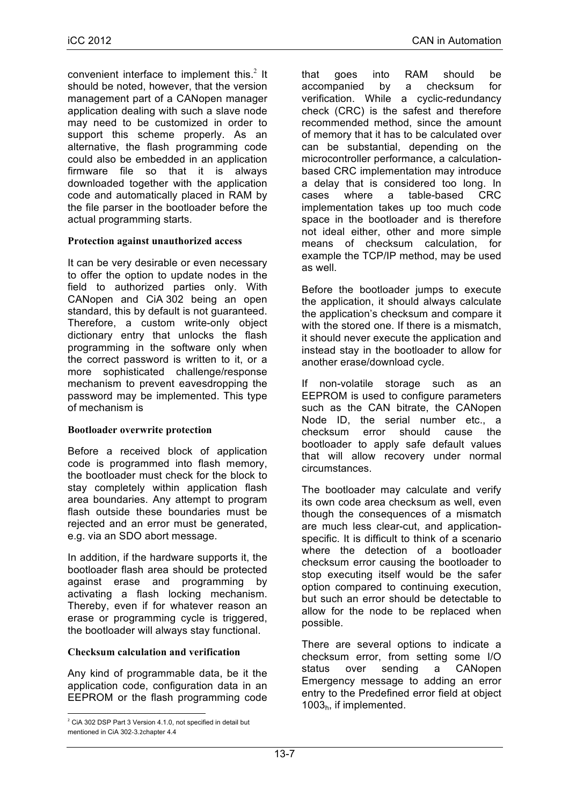convenient interface to implement this. $2$  It should be noted, however, that the version management part of a CANopen manager application dealing with such a slave node may need to be customized in order to support this scheme properly. As an alternative, the flash programming code could also be embedded in an application firmware file so that it is always downloaded together with the application code and automatically placed in RAM by the file parser in the bootloader before the actual programming starts.

#### **Protection against unauthorized access**

It can be very desirable or even necessary to offer the option to update nodes in the field to authorized parties only. With CANopen and CiA 302 being an open standard, this by default is not quaranteed. Therefore, a custom write-only object dictionary entry that unlocks the flash programming in the software only when the correct password is written to it, or a more sophisticated challenge/response mechanism to prevent eavesdropping the password may be implemented. This type of mechanism is

#### **Bootloader overwrite protection**

Before a received block of application code is programmed into flash memory, the bootloader must check for the block to stay completely within application flash area boundaries. Any attempt to program flash outside these boundaries must be rejected and an error must be generated, e.g. via an SDO abort message.

In addition, if the hardware supports it, the bootloader flash area should be protected against erase and programming by activating a flash locking mechanism. Thereby, even if for whatever reason an erase or programming cycle is triggered, the bootloader will always stay functional.

#### **Checksum calculation and verification**

Any kind of programmable data, be it the application code, configuration data in an EEPROM or the flash programming code

<u> 1989 - Johann Stein, mars et al. 1989 - Anna ann an t-Anna ann an t-Anna ann an t-Anna ann an t-Anna ann an t-</u>

that goes into RAM should be accompanied by a checksum for verification. While a cyclic-redundancy check (CRC) is the safest and therefore recommended method, since the amount of memory that it has to be calculated over can be substantial, depending on the microcontroller performance, a calculationbased CRC implementation may introduce a delay that is considered too long. In cases where a table-based CRC implementation takes up too much code space in the bootloader and is therefore not ideal either, other and more simple means of checksum calculation, for example the TCP/IP method, may be used as well.

Before the bootloader jumps to execute the application, it should always calculate the application's checksum and compare it with the stored one. If there is a mismatch, it should never execute the application and instead stay in the bootloader to allow for another erase/download cycle.

non-volatile storage such as an EEPROM is used to configure parameters such as the CAN bitrate, the CANopen Node ID, the serial number etc., a checksum error should cause the bootloader to apply safe default values that will allow recovery under normal circumstances.

The bootloader may calculate and verify its own code area checksum as well, even though the consequences of a mismatch are much less clear-cut, and applicationspecific. It is difficult to think of a scenario where the detection of a bootloader checksum error causing the bootloader to stop executing itself would be the safer option compared to continuing execution, but such an error should be detectable to allow for the node to be replaced when possible.

There are several options to indicate a checksum error, from setting some I/O status over sending a CANopen Emergency message to adding an error entry to the Predefined error field at object 1003h, if implemented.

 $2^2$  CiA 302 DSP Part 3 Version 4.1.0, not specified in detail but mentioned in CiA 302-3.2chapter 4.4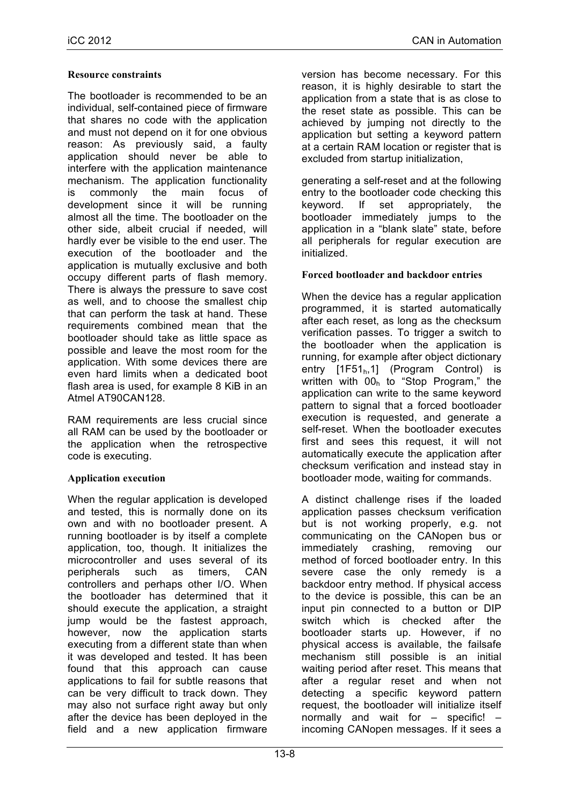#### **Resource constraints**

The bootloader is recommended to be an individual, self-contained piece of firmware that shares no code with the application and must not depend on it for one obvious reason: As previously said, a faulty application should never be able to interfere with the application maintenance mechanism. The application functionality is commonly the main focus of development since it will be running almost all the time. The bootloader on the other side, albeit crucial if needed, will hardly ever be visible to the end user. The execution of the bootloader and the application is mutually exclusive and both occupy different parts of flash memory. There is always the pressure to save cost as well, and to choose the smallest chip that can perform the task at hand. These requirements combined mean that the bootloader should take as little space as possible and leave the most room for the application. With some devices there are even hard limits when a dedicated boot flash area is used, for example 8 KiB in an Atmel AT90CAN128.

RAM requirements are less crucial since all RAM can be used by the bootloader or the application when the retrospective code is executing.

# **Application execution**

When the regular application is developed and tested, this is normally done on its own and with no bootloader present. A running bootloader is by itself a complete application, too, though. It initializes the microcontroller and uses several of its peripherals such as timers CAN controllers and perhaps other I/O. When the bootloader has determined that it should execute the application, a straight jump would be the fastest approach, however, now the application starts executing from a different state than when it was developed and tested. It has been found that this approach can cause applications to fail for subtle reasons that can be very difficult to track down. They may also not surface right away but only after the device has been deployed in the field and a new application firmware

version has become necessary. For this reason, it is highly desirable to start the application from a state that is as close to the reset state as possible. This can be achieved by jumping not directly to the application but setting a keyword pattern at a certain RAM location or register that is excluded from startup initialization,

generating a self-reset and at the following entry to the bootloader code checking this keyword. If set appropriately, the bootloader immediately jumps to the application in a "blank slate" state, before all peripherals for regular execution are initialized.

# **Forced bootloader and backdoor entries**

When the device has a regular application programmed, it is started automatically after each reset, as long as the checksum verification passes. To trigger a switch to the bootloader when the application is running, for example after object dictionary entry  $[1F51<sub>h</sub>, 1]$  (Program Control) is written with 00h to "Stop Program," the application can write to the same keyword pattern to signal that a forced bootloader execution is requested, and generate a self-reset. When the bootloader executes first and sees this request, it will not automatically execute the application after checksum verification and instead stay in bootloader mode, waiting for commands.

A distinct challenge rises if the loaded application passes checksum verification but is not working properly, e.g. not communicating on the CANopen bus or immediately crashing, removing our method of forced bootloader entry. In this severe case the only remedy is a backdoor entry method. If physical access to the device is possible, this can be an input pin connected to a button or DIP switch which is checked after the bootloader starts up. However, if no physical access is available, the failsafe mechanism still possible is an initial waiting period after reset. This means that after a regular reset and when not detecting a specific keyword pattern request, the bootloader will initialize itself normally and wait for – specific! – incoming CANopen messages. If it sees a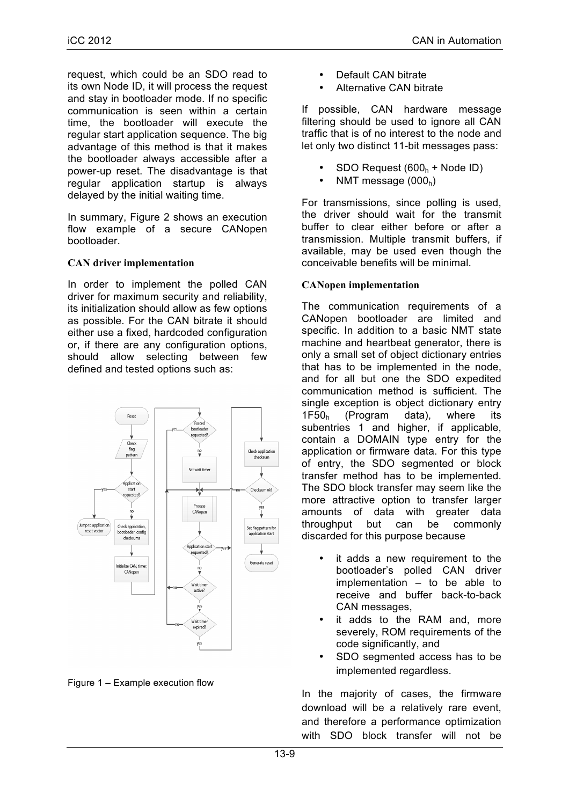request, which could be an SDO read to its own Node ID, it will process the request and stay in bootloader mode. If no specific communication is seen within a certain time, the bootloader will execute the regular start application sequence. The big advantage of this method is that it makes the bootloader always accessible after a power-up reset. The disadvantage is that regular application startup is always delayed by the initial waiting time.

In summary, Figure 2 shows an execution flow example of a secure CANopen bootloader.

#### **CAN driver implementation**

In order to implement the polled CAN driver for maximum security and reliability, its initialization should allow as few options as possible. For the CAN bitrate it should either use a fixed, hardcoded configuration or, if there are any configuration options, should allow selecting between few defined and tested options such as:



Figure 1 – Example execution flow

- Default CAN bitrate
- Alternative CAN bitrate

If possible, CAN hardware message filtering should be used to ignore all CAN traffic that is of no interest to the node and let only two distinct 11-bit messages pass:

- $SDO$  Request (600<sub>h</sub> + Node ID)
- NMT message  $(000_h)$

For transmissions, since polling is used, the driver should wait for the transmit buffer to clear either before or after a transmission. Multiple transmit buffers, if available, may be used even though the conceivable benefits will be minimal.

# **CANopen implementation**

The communication requirements of a CANopen bootloader are limited and specific. In addition to a basic NMT state machine and heartbeat generator, there is only a small set of object dictionary entries that has to be implemented in the node, and for all but one the SDO expedited communication method is sufficient. The single exception is object dictionary entry 1F50h (Program data), where its subentries 1 and higher, if applicable, contain a DOMAIN type entry for the application or firmware data. For this type of entry, the SDO segmented or block transfer method has to be implemented. The SDO block transfer may seem like the more attractive option to transfer larger amounts of data with greater data throughput but can be commonly discarded for this purpose because

- it adds a new requirement to the bootloader's polled CAN driver implementation – to be able to receive and buffer back-to-back CAN messages,
- it adds to the RAM and, more severely, ROM requirements of the code significantly, and
- SDO segmented access has to be implemented regardless.

In the majority of cases, the firmware download will be a relatively rare event, and therefore a performance optimization with SDO block transfer will not be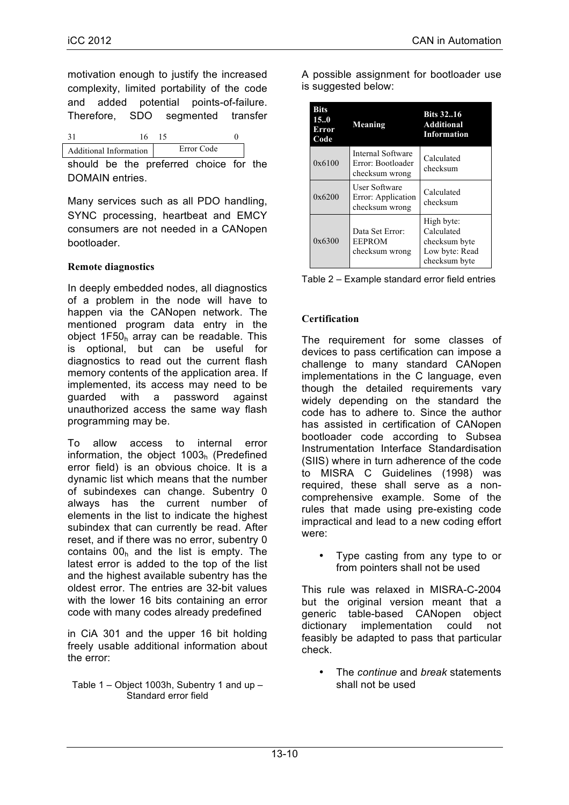motivation enough to justify the increased complexity, limited portability of the code and added potential points-of-failure. Therefore, SDO segmented transfer

| <b>Additional Information</b> |  | Error Code |  |  |
|-------------------------------|--|------------|--|--|

should be the preferred choice for the DOMAIN entries.

Many services such as all PDO handling, SYNC processing, heartbeat and EMCY consumers are not needed in a CANopen bootloader.

# **Remote diagnostics**

In deeply embedded nodes, all diagnostics of a problem in the node will have to happen via the CANopen network. The mentioned program data entry in the object 1F50h array can be readable. This is optional, but can be useful for diagnostics to read out the current flash memory contents of the application area. If implemented, its access may need to be guarded with a password against unauthorized access the same way flash programming may be.

To allow access to internal error information, the object 1003h (Predefined error field) is an obvious choice. It is a dynamic list which means that the number of subindexes can change. Subentry 0 always has the current number of elements in the list to indicate the highest subindex that can currently be read. After reset, and if there was no error, subentry 0 contains  $00<sub>h</sub>$  and the list is empty. The latest error is added to the top of the list and the highest available subentry has the oldest error. The entries are 32-bit values with the lower 16 bits containing an error code with many codes already predefined

in CiA 301 and the upper 16 bit holding freely usable additional information about the error:

Table 1 – Object 1003h, Subentry 1 and up – Standard error field

| <b>Bits</b><br>150<br>Error<br>Code | Meaning                                                      | <b>Bits 3216</b><br><b>Additional</b><br><b>Information</b>                  |  |  |
|-------------------------------------|--------------------------------------------------------------|------------------------------------------------------------------------------|--|--|
| 0x6100                              | Internal Software<br>Error: Bootloader<br>checksum wrong     | Calculated<br>checksum                                                       |  |  |
| 0x6200                              | <b>User Software</b><br>Error: Application<br>checksum wrong | Calculated<br>checksum                                                       |  |  |
| 0x6300                              | Data Set Error:<br><b>EEPROM</b><br>checksum wrong           | High byte:<br>Calculated<br>checksum byte<br>Low byte: Read<br>checksum byte |  |  |

A possible assignment for bootloader use

is suggested below:

|  |  |  | Table 2 – Example standard error field entries |  |
|--|--|--|------------------------------------------------|--|
|--|--|--|------------------------------------------------|--|

#### **Certification**

The requirement for some classes of devices to pass certification can impose a challenge to many standard CANopen implementations in the C language, even though the detailed requirements vary widely depending on the standard the code has to adhere to. Since the author has assisted in certification of CANopen bootloader code according to Subsea Instrumentation Interface Standardisation (SIIS) where in turn adherence of the code to MISRA C Guidelines (1998) was required, these shall serve as a noncomprehensive example. Some of the rules that made using pre-existing code impractical and lead to a new coding effort were:

• Type casting from any type to or from pointers shall not be used

This rule was relaxed in MISRA-C-2004 but the original version meant that a generic table-based CANopen object dictionary implementation could not feasibly be adapted to pass that particular check.

• The *continue* and *break* statements shall not be used